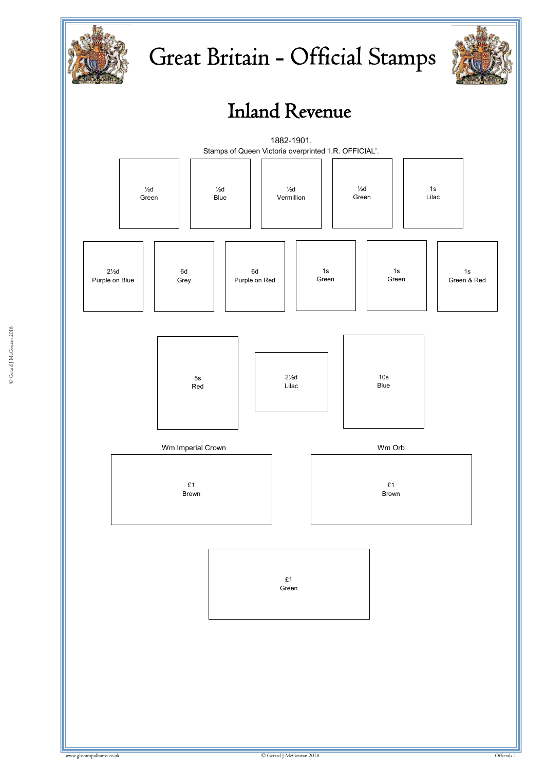

# Great Britain - Official Stamps



## Inland Revenue

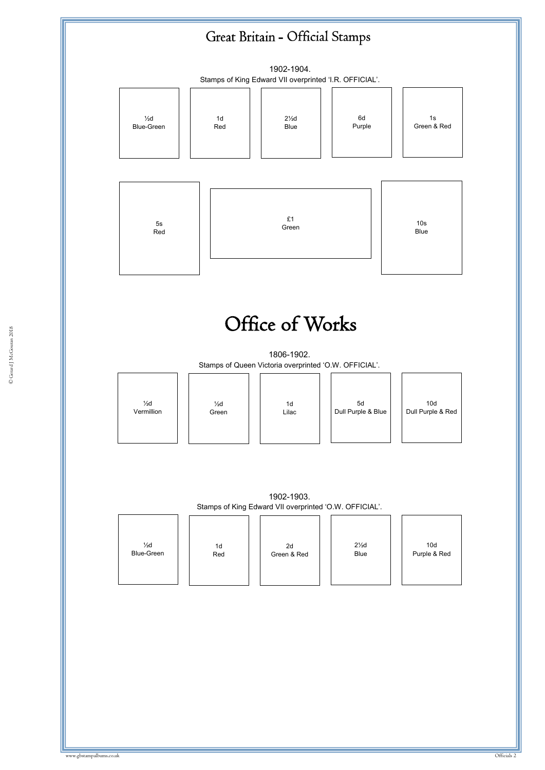### Great Britain - Official Stamps



#### $\sum_{i=1}^{n}$   $\sum_{i=1}^{n}$   $\sum_{i=1}^{n}$   $\sum_{i=1}^{n}$ Office of Works

Stamps of Queen Victoria overprinted 'O.W. OFFICIAL'. 1806-1902.

| $\frac{1}{2}d$<br>Green |  |
|-------------------------|--|
|                         |  |

| 1d<br>Lilac |  |
|-------------|--|
|             |  |

| 10d<br>Dull Purple & Red |  |
|--------------------------|--|

1902-1903. Stamps of King Edward VII overprinted 'O.W. OFFICIAL'.

|                                     | . .       | . .               |                         |                                 |
|-------------------------------------|-----------|-------------------|-------------------------|---------------------------------|
| $\frac{1}{2}d$<br><b>Blue-Green</b> | 1d<br>Red | 2d<br>Green & Red | $2\frac{1}{2}d$<br>Blue | 10 <sub>d</sub><br>Purple & Red |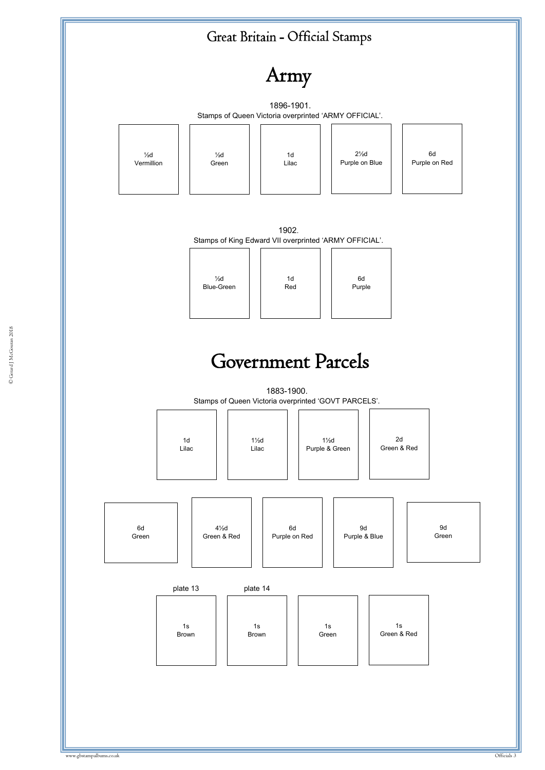